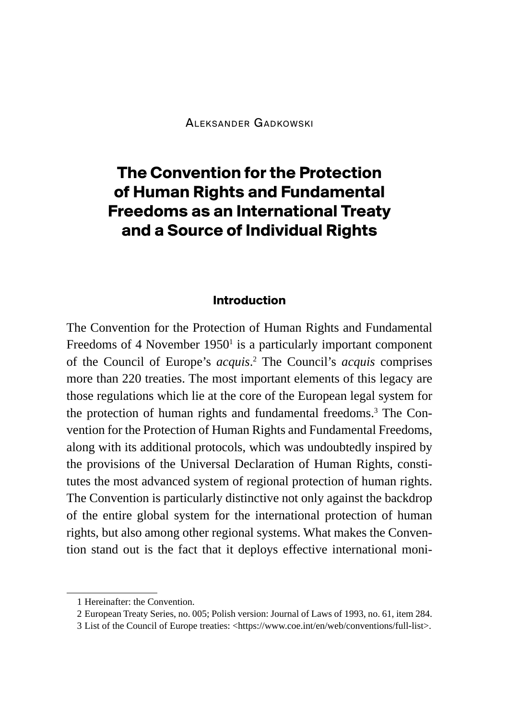# **The Convention for the Protection of Human Rights and Fundamental Freedoms as an International Treaty and a Source of Individual Rights**

#### **Introduction**

The Convention for the Protection of Human Rights and Fundamental Freedoms of 4 November  $1950<sup>1</sup>$  is a particularly important component of the Council of Europe's *acquis*. 2 The Council's *acquis* comprises more than 220 treaties. The most important elements of this legacy are those regulations which lie at the core of the European legal system for the protection of human rights and fundamental freedoms.3 The Convention for the Protection of Human Rights and Fundamental Freedoms, along with its additional protocols, which was undoubtedly inspired by the provisions of the Universal Declaration of Human Rights, constitutes the most advanced system of regional protection of human rights. The Convention is particularly distinctive not only against the backdrop of the entire global system for the international protection of human rights, but also among other regional systems. What makes the Convention stand out is the fact that it deploys effective international moni-

<sup>1</sup> Hereinafter: the Convention.

<sup>2</sup> European Treaty Series, no. 005; Polish version: Journal of Laws of 1993, no. 61, item 284.

<sup>3</sup> List of the Council of Europe treaties: <https://www.coe.int/en/web/conventions/full-list>.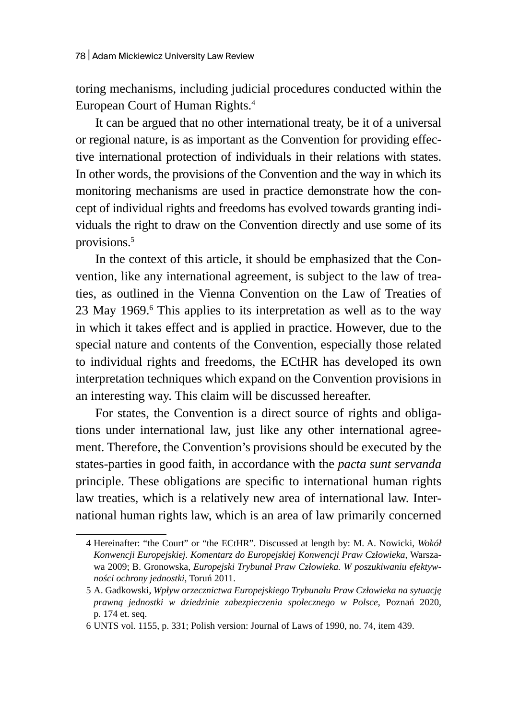toring mechanisms, including judicial procedures conducted within the European Court of Human Rights.4

It can be argued that no other international treaty, be it of a universal or regional nature, is as important as the Convention for providing effective international protection of individuals in their relations with states. In other words, the provisions of the Convention and the way in which its monitoring mechanisms are used in practice demonstrate how the concept of individual rights and freedoms has evolved towards granting individuals the right to draw on the Convention directly and use some of its provisions.5

In the context of this article, it should be emphasized that the Convention, like any international agreement, is subject to the law of treaties, as outlined in the Vienna Convention on the Law of Treaties of 23 May 1969.<sup>6</sup> This applies to its interpretation as well as to the way in which it takes effect and is applied in practice. However, due to the special nature and contents of the Convention, especially those related to individual rights and freedoms, the ECtHR has developed its own interpretation techniques which expand on the Convention provisions in an interesting way. This claim will be discussed hereafter.

For states, the Convention is a direct source of rights and obligations under international law, just like any other international agreement. Therefore, the Convention's provisions should be executed by the states-parties in good faith, in accordance with the *pacta sunt servanda* principle. These obligations are specific to international human rights law treaties, which is a relatively new area of international law. International human rights law, which is an area of law primarily concerned

<sup>4</sup> Hereinafter: "the Court" or "the ECtHR". Discussed at length by: M. A. Nowicki, *Wokół Konwencji Europejskiej. Komentarz do Europejskiej Konwencji Praw Człowieka,* Warszawa 2009; B. Gronowska, *Europejski Trybunał Praw Człowieka. W poszukiwaniu efektywności ochrony jednostki*, Toruń 2011.

<sup>5</sup> A. Gadkowski, *Wpływ orzecznictwa Europejskiego Trybunału Praw Człowieka na sytuację prawną jednostki w dziedzinie zabezpieczenia społecznego w Polsce*, Poznań 2020, p. 174 et. seq.

<sup>6</sup> UNTS vol. 1155, p. 331; Polish version: Journal of Laws of 1990, no. 74, item 439.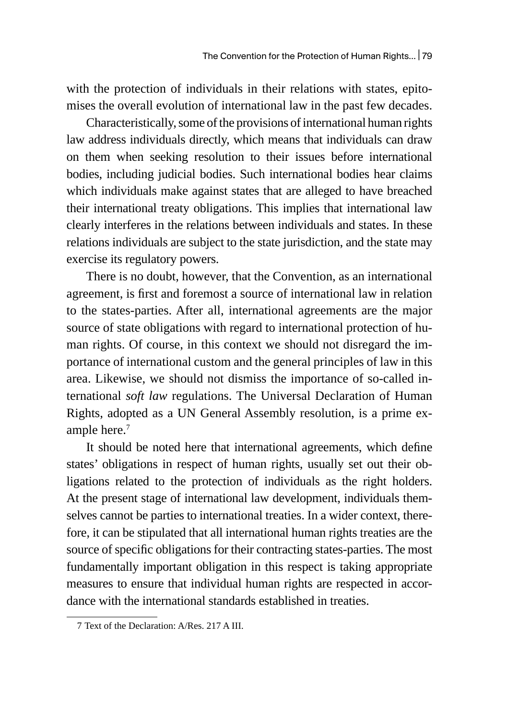with the protection of individuals in their relations with states, epitomises the overall evolution of international law in the past few decades.

Characteristically, some of the provisions of international human rights law address individuals directly, which means that individuals can draw on them when seeking resolution to their issues before international bodies, including judicial bodies. Such international bodies hear claims which individuals make against states that are alleged to have breached their international treaty obligations. This implies that international law clearly interferes in the relations between individuals and states. In these relations individuals are subject to the state jurisdiction, and the state may exercise its regulatory powers.

There is no doubt, however, that the Convention, as an international agreement, is first and foremost a source of international law in relation to the states-parties. After all, international agreements are the major source of state obligations with regard to international protection of human rights. Of course, in this context we should not disregard the importance of international custom and the general principles of law in this area. Likewise, we should not dismiss the importance of so-called international *soft law* regulations. The Universal Declaration of Human Rights, adopted as a UN General Assembly resolution, is a prime example here. $<sup>7</sup>$ </sup>

It should be noted here that international agreements, which define states' obligations in respect of human rights, usually set out their obligations related to the protection of individuals as the right holders. At the present stage of international law development, individuals themselves cannot be parties to international treaties. In a wider context, therefore, it can be stipulated that all international human rights treaties are the source of specific obligations for their contracting states-parties. The most fundamentally important obligation in this respect is taking appropriate measures to ensure that individual human rights are respected in accordance with the international standards established in treaties.

<sup>7</sup> Text of the Declaration: A/Res. 217 A III.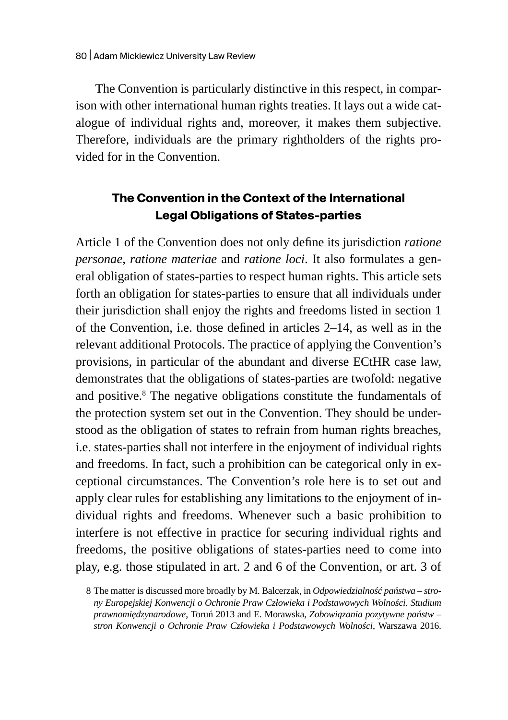The Convention is particularly distinctive in this respect, in comparison with other international human rights treaties. It lays out a wide catalogue of individual rights and, moreover, it makes them subjective. Therefore, individuals are the primary rightholders of the rights provided for in the Convention.

# **The Convention in the Context of the International Legal Obligations of States-parties**

Article 1 of the Convention does not only define its jurisdiction *ratione personae*, *ratione materiae* and *ratione loci*. It also formulates a general obligation of states-parties to respect human rights. This article sets forth an obligation for states-parties to ensure that all individuals under their jurisdiction shall enjoy the rights and freedoms listed in section 1 of the Convention, i.e. those defined in articles 2–14, as well as in the relevant additional Protocols. The practice of applying the Convention's provisions, in particular of the abundant and diverse ECtHR case law, demonstrates that the obligations of states-parties are twofold: negative and positive.<sup>8</sup> The negative obligations constitute the fundamentals of the protection system set out in the Convention. They should be understood as the obligation of states to refrain from human rights breaches, i.e. states-parties shall not interfere in the enjoyment of individual rights and freedoms. In fact, such a prohibition can be categorical only in exceptional circumstances. The Convention's role here is to set out and apply clear rules for establishing any limitations to the enjoyment of individual rights and freedoms. Whenever such a basic prohibition to interfere is not effective in practice for securing individual rights and freedoms, the positive obligations of states-parties need to come into play, e.g. those stipulated in art. 2 and 6 of the Convention, or art. 3 of

<sup>8</sup> The matter is discussed more broadly by M. Balcerzak, in *Odpowiedzialność państwa – strony Europejskiej Konwencji o Ochronie Praw Człowieka i Podstawowych Wolności. Studium prawnomiędzynarodowe*, Toruń 2013 and E. Morawska, *Zobowiązania pozytywne państw – stron Konwencji o Ochronie Praw Człowieka i Podstawowych Wolności*, Warszawa 2016.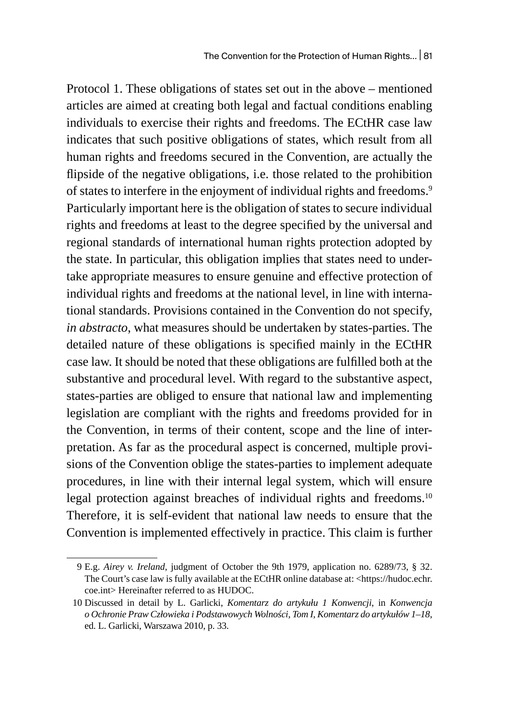Protocol 1. These obligations of states set out in the above – mentioned articles are aimed at creating both legal and factual conditions enabling individuals to exercise their rights and freedoms. The ECtHR case law indicates that such positive obligations of states, which result from all human rights and freedoms secured in the Convention, are actually the flipside of the negative obligations, i.e. those related to the prohibition of states to interfere in the enjoyment of individual rights and freedoms.<sup>9</sup> Particularly important here is the obligation of states to secure individual rights and freedoms at least to the degree specified by the universal and regional standards of international human rights protection adopted by the state. In particular, this obligation implies that states need to undertake appropriate measures to ensure genuine and effective protection of individual rights and freedoms at the national level, in line with international standards. Provisions contained in the Convention do not specify, *in abstracto*, what measures should be undertaken by states-parties. The detailed nature of these obligations is specified mainly in the ECtHR case law. It should be noted that these obligations are fulfilled both at the substantive and procedural level. With regard to the substantive aspect, states-parties are obliged to ensure that national law and implementing legislation are compliant with the rights and freedoms provided for in the Convention, in terms of their content, scope and the line of interpretation. As far as the procedural aspect is concerned, multiple provisions of the Convention oblige the states-parties to implement adequate procedures, in line with their internal legal system, which will ensure legal protection against breaches of individual rights and freedoms.<sup>10</sup> Therefore, it is self-evident that national law needs to ensure that the Convention is implemented effectively in practice. This claim is further

<sup>9</sup> E.g. *Airey v. Ireland*, judgment of October the 9th 1979, application no. 6289/73, § 32. The Court's case law is fully available at the ECtHR online database at: <https://hudoc.echr. coe.int> Hereinafter referred to as HUDOC.

<sup>10</sup> Discussed in detail by L. Garlicki, *Komentarz do artykułu 1 Konwencji*, in *Konwencja o Ochronie Praw Człowieka i Podstawowych Wolności, Tom I, Komentarz do artykułów 1–18*, ed. L. Garlicki, Warszawa 2010, p. 33.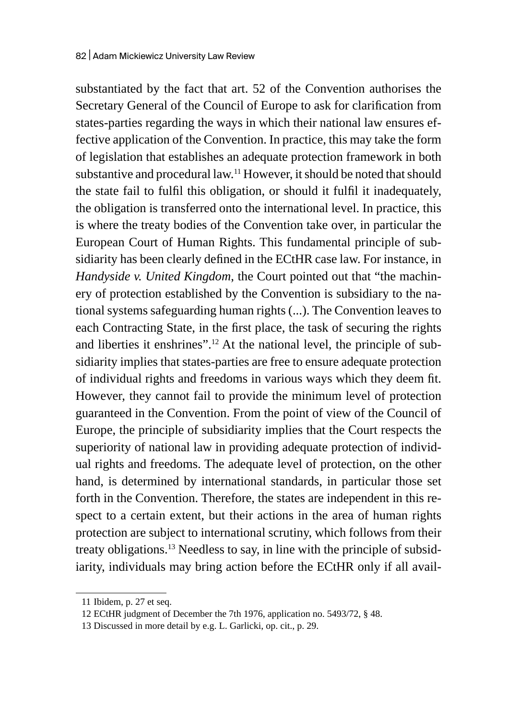substantiated by the fact that art. 52 of the Convention authorises the Secretary General of the Council of Europe to ask for clarification from states-parties regarding the ways in which their national law ensures effective application of the Convention. In practice, this may take the form of legislation that establishes an adequate protection framework in both substantive and procedural law.<sup>11</sup> However, it should be noted that should the state fail to fulfil this obligation, or should it fulfil it inadequately, the obligation is transferred onto the international level. In practice, this is where the treaty bodies of the Convention take over, in particular the European Court of Human Rights. This fundamental principle of subsidiarity has been clearly defined in the ECtHR case law. For instance, in *Handyside v. United Kingdom*, the Court pointed out that "the machinery of protection established by the Convention is subsidiary to the national systems safeguarding human rights (...). The Convention leaves to each Contracting State, in the first place, the task of securing the rights and liberties it enshrines".<sup>12</sup> At the national level, the principle of subsidiarity implies that states-parties are free to ensure adequate protection of individual rights and freedoms in various ways which they deem fit. However, they cannot fail to provide the minimum level of protection guaranteed in the Convention. From the point of view of the Council of Europe, the principle of subsidiarity implies that the Court respects the superiority of national law in providing adequate protection of individual rights and freedoms. The adequate level of protection, on the other hand, is determined by international standards, in particular those set forth in the Convention. Therefore, the states are independent in this respect to a certain extent, but their actions in the area of human rights protection are subject to international scrutiny, which follows from their treaty obligations.13 Needless to say, in line with the principle of subsidiarity, individuals may bring action before the ECtHR only if all avail-

<sup>11</sup> Ibidem, p. 27 et seq.

<sup>12</sup> ECtHR judgment of December the 7th 1976, application no. 5493/72, § 48.

<sup>13</sup> Discussed in more detail by e.g. L. Garlicki, op. cit., p. 29.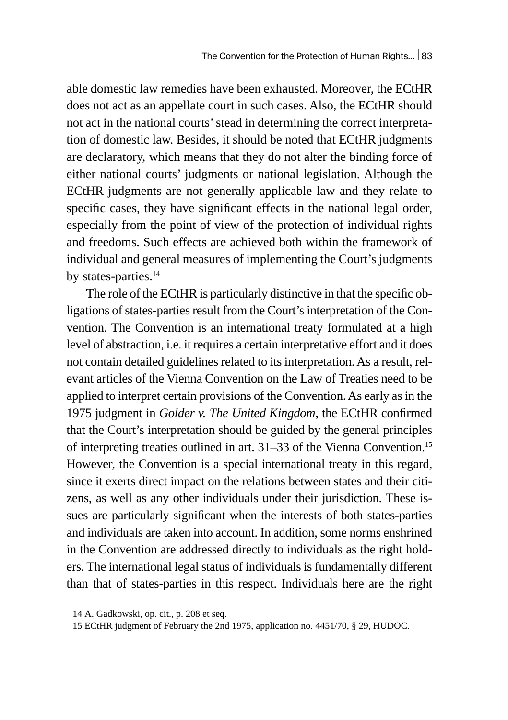able domestic law remedies have been exhausted. Moreover, the ECtHR does not act as an appellate court in such cases. Also, the ECtHR should not act in the national courts' stead in determining the correct interpretation of domestic law. Besides, it should be noted that ECtHR judgments are declaratory, which means that they do not alter the binding force of either national courts' judgments or national legislation. Although the ECtHR judgments are not generally applicable law and they relate to specific cases, they have significant effects in the national legal order, especially from the point of view of the protection of individual rights and freedoms. Such effects are achieved both within the framework of individual and general measures of implementing the Court's judgments by states-parties.<sup>14</sup>

The role of the ECtHR is particularly distinctive in that the specific obligations of states-parties result from the Court's interpretation of the Convention. The Convention is an international treaty formulated at a high level of abstraction, i.e. it requires a certain interpretative effort and it does not contain detailed guidelines related to its interpretation. As a result, relevant articles of the Vienna Convention on the Law of Treaties need to be applied to interpret certain provisions of the Convention. As early as in the 1975 judgment in *Golder v. The United Kingdom*, the ECtHR confirmed that the Court's interpretation should be guided by the general principles of interpreting treaties outlined in art. 31–33 of the Vienna Convention.<sup>15</sup> However, the Convention is a special international treaty in this regard, since it exerts direct impact on the relations between states and their citizens, as well as any other individuals under their jurisdiction. These issues are particularly significant when the interests of both states-parties and individuals are taken into account. In addition, some norms enshrined in the Convention are addressed directly to individuals as the right holders. The international legal status of individuals is fundamentally different than that of states-parties in this respect. Individuals here are the right

<sup>14</sup> A. Gadkowski, op. cit., p. 208 et seq.

<sup>15</sup> ECtHR judgment of February the 2nd 1975, application no. 4451/70, § 29, HUDOC.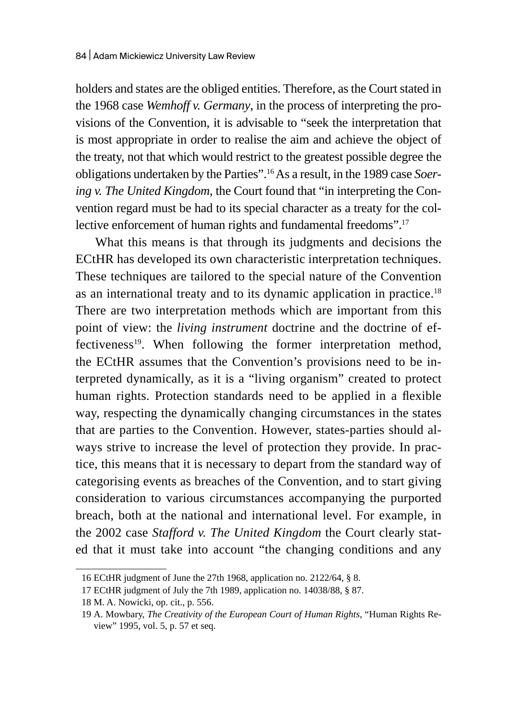holders and states are the obliged entities. Therefore, as the Court stated in the 1968 case *Wemhoff v. Germany*, in the process of interpreting the provisions of the Convention, it is advisable to "seek the interpretation that is most appropriate in order to realise the aim and achieve the object of the treaty, not that which would restrict to the greatest possible degree the obligations undertaken by the Parties".16 As a result, in the 1989 case *Soering v. The United Kingdom*, the Court found that "in interpreting the Convention regard must be had to its special character as a treaty for the collective enforcement of human rights and fundamental freedoms".<sup>17</sup>

What this means is that through its judgments and decisions the ECtHR has developed its own characteristic interpretation techniques. These techniques are tailored to the special nature of the Convention as an international treaty and to its dynamic application in practice.<sup>18</sup> There are two interpretation methods which are important from this point of view: the *living instrument* doctrine and the doctrine of effectiveness<sup>19</sup>. When following the former interpretation method, the ECtHR assumes that the Convention's provisions need to be interpreted dynamically, as it is a "living organism" created to protect human rights. Protection standards need to be applied in a flexible way, respecting the dynamically changing circumstances in the states that are parties to the Convention. However, states-parties should always strive to increase the level of protection they provide. In practice, this means that it is necessary to depart from the standard way of categorising events as breaches of the Convention, and to start giving consideration to various circumstances accompanying the purported breach, both at the national and international level. For example, in the 2002 case *Stafford v. The United Kingdom* the Court clearly stated that it must take into account "the changing conditions and any

<sup>16</sup> ECtHR judgment of June the 27th 1968, application no. 2122/64, § 8.

<sup>17</sup> ECtHR judgment of July the 7th 1989, application no. 14038/88, § 87.

<sup>18</sup> M. A. Nowicki, op. cit., p. 556.

<sup>19</sup> A. Mowbary, *The Creativity of the European Court of Human Rights*, "Human Rights Review" 1995, vol. 5, p. 57 et seq.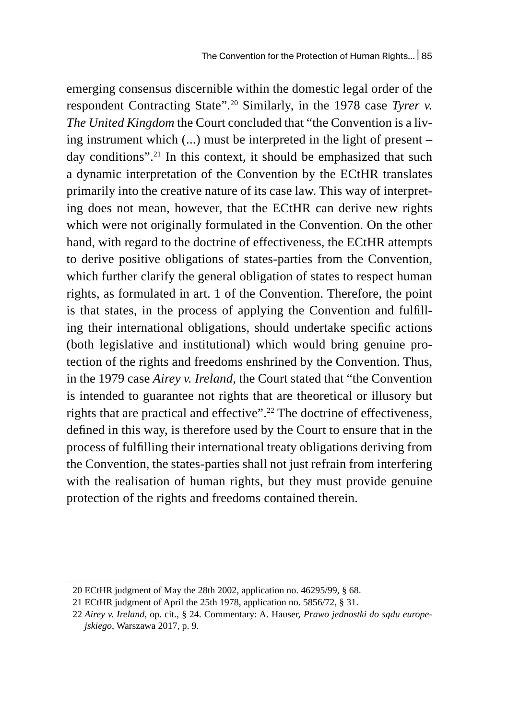emerging consensus discernible within the domestic legal order of the respondent Contracting State".20 Similarly, in the 1978 case *Tyrer v. The United Kingdom* the Court concluded that "the Convention is a living instrument which (...) must be interpreted in the light of present – day conditions".<sup>21</sup> In this context, it should be emphasized that such a dynamic interpretation of the Convention by the ECtHR translates primarily into the creative nature of its case law. This way of interpreting does not mean, however, that the ECtHR can derive new rights which were not originally formulated in the Convention. On the other hand, with regard to the doctrine of effectiveness, the ECtHR attempts to derive positive obligations of states-parties from the Convention, which further clarify the general obligation of states to respect human rights, as formulated in art. 1 of the Convention. Therefore, the point is that states, in the process of applying the Convention and fulfilling their international obligations, should undertake specific actions (both legislative and institutional) which would bring genuine protection of the rights and freedoms enshrined by the Convention. Thus, in the 1979 case *Airey v. Ireland*, the Court stated that "the Convention is intended to guarantee not rights that are theoretical or illusory but rights that are practical and effective".<sup>22</sup> The doctrine of effectiveness, defined in this way, is therefore used by the Court to ensure that in the process of fulfilling their international treaty obligations deriving from the Convention, the states-parties shall not just refrain from interfering with the realisation of human rights, but they must provide genuine protection of the rights and freedoms contained therein.

<sup>20</sup> ECtHR judgment of May the 28th 2002, application no. 46295/99, § 68.

<sup>21</sup> ECtHR judgment of April the 25th 1978, application no. 5856/72, § 31.

<sup>22</sup> *Airey v. Ireland,* op. cit., § 24. Commentary: A. Hauser, *Prawo jednostki do sądu europejskiego*, Warszawa 2017, p. 9.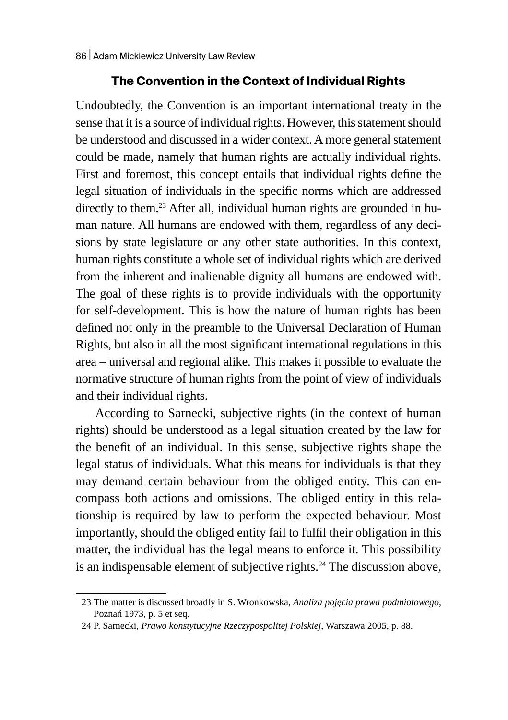### **The Convention in the Context of Individual Rights**

Undoubtedly, the Convention is an important international treaty in the sense that it is a source of individual rights. However, this statement should be understood and discussed in a wider context. Amore general statement could be made, namely that human rights are actually individual rights. First and foremost, this concept entails that individual rights define the legal situation of individuals in the specific norms which are addressed directly to them.<sup>23</sup> After all, individual human rights are grounded in human nature. All humans are endowed with them, regardless of any decisions by state legislature or any other state authorities. In this context, human rights constitute a whole set of individual rights which are derived from the inherent and inalienable dignity all humans are endowed with. The goal of these rights is to provide individuals with the opportunity for self-development. This is how the nature of human rights has been defined not only in the preamble to the Universal Declaration of Human Rights, but also in all the most significant international regulations in this area – universal and regional alike. This makes it possible to evaluate the normative structure of human rights from the point of view of individuals and their individual rights.

According to Sarnecki, subjective rights (in the context of human rights) should be understood as a legal situation created by the law for the benefit of an individual. In this sense, subjective rights shape the legal status of individuals. What this means for individuals is that they may demand certain behaviour from the obliged entity. This can encompass both actions and omissions. The obliged entity in this relationship is required by law to perform the expected behaviour. Most importantly, should the obliged entity fail to fulfil their obligation in this matter, the individual has the legal means to enforce it. This possibility is an indispensable element of subjective rights.<sup>24</sup> The discussion above,

<sup>23</sup> The matter is discussed broadly in S. Wronkowska, *Analiza pojęcia prawa podmiotowego*, Poznań 1973, p. 5 et seq.

<sup>24</sup> P. Sarnecki, *Prawo konstytucyjne Rzeczypospolitej Polskiej*, Warszawa 2005, p. 88.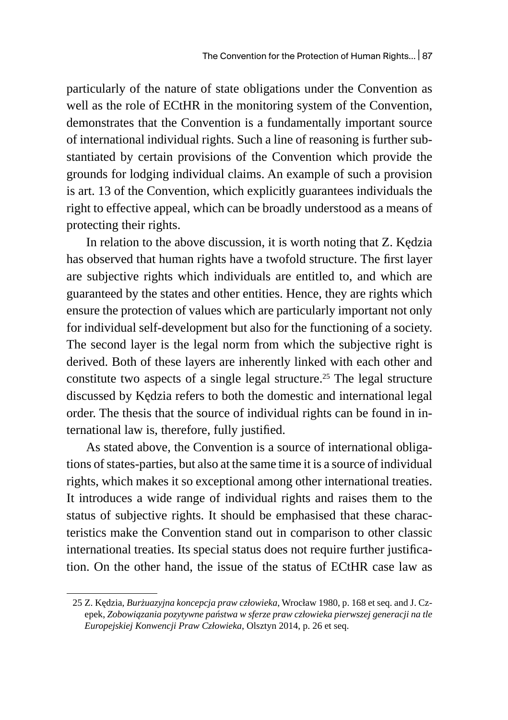particularly of the nature of state obligations under the Convention as well as the role of ECtHR in the monitoring system of the Convention, demonstrates that the Convention is a fundamentally important source of international individual rights. Such a line of reasoning is further substantiated by certain provisions of the Convention which provide the grounds for lodging individual claims. An example of such a provision is art. 13 of the Convention, which explicitly guarantees individuals the right to effective appeal, which can be broadly understood as a means of protecting their rights.

In relation to the above discussion, it is worth noting that Z. Kędzia has observed that human rights have a twofold structure. The first layer are subjective rights which individuals are entitled to, and which are guaranteed by the states and other entities. Hence, they are rights which ensure the protection of values which are particularly important not only for individual self-development but also for the functioning of a society. The second layer is the legal norm from which the subjective right is derived. Both of these layers are inherently linked with each other and constitute two aspects of a single legal structure.<sup>25</sup> The legal structure discussed by Kędzia refers to both the domestic and international legal order. The thesis that the source of individual rights can be found in international law is, therefore, fully justified.

As stated above, the Convention is a source of international obligations of states-parties, but also at the same time it is a source of individual rights, which makes it so exceptional among other international treaties. It introduces a wide range of individual rights and raises them to the status of subjective rights. It should be emphasised that these characteristics make the Convention stand out in comparison to other classic international treaties. Its special status does not require further justification. On the other hand, the issue of the status of ECtHR case law as

<sup>25</sup> Z. Kędzia, *Burżuazyjna koncepcja praw człowieka*, Wrocław 1980, p. 168 et seq. and J. Czepek, *Zobowiązania pozytywne państwa w sferze praw człowieka pierwszej generacji na tle Europejskiej Konwencji Praw Człowieka*, Olsztyn 2014, p. 26 et seq.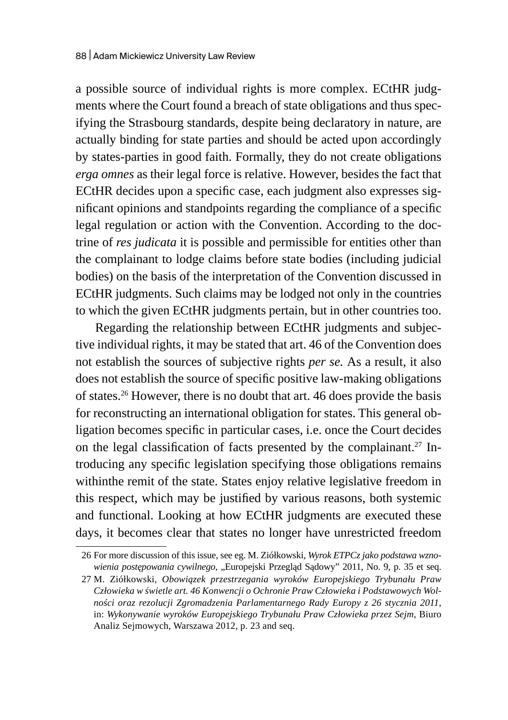a possible source of individual rights is more complex. ECtHR judgments where the Court found a breach of state obligations and thus specifying the Strasbourg standards, despite being declaratory in nature, are actually binding for state parties and should be acted upon accordingly by states-parties in good faith. Formally, they do not create obligations *erga omnes* as their legal force is relative. However, besides the fact that ECtHR decides upon a specific case, each judgment also expresses significant opinions and standpoints regarding the compliance of a specific legal regulation or action with the Convention. According to the doctrine of *res judicata* it is possible and permissible for entities other than the complainant to lodge claims before state bodies (including judicial bodies) on the basis of the interpretation of the Convention discussed in ECtHR judgments. Such claims may be lodged not only in the countries to which the given ECtHR judgments pertain, but in other countries too.

Regarding the relationship between ECtHR judgments and subjective individual rights, it may be stated that art. 46 of the Convention does not establish the sources of subjective rights *per se.* As a result, it also does not establish the source of specific positive law-making obligations of states.26 However, there is no doubt that art. 46 does provide the basis for reconstructing an international obligation for states. This general obligation becomes specific in particular cases, i.e. once the Court decides on the legal classification of facts presented by the complainant.<sup>27</sup> Introducing any specific legislation specifying those obligations remains withinthe remit of the state. States enjoy relative legislative freedom in this respect, which may be justified by various reasons, both systemic and functional. Looking at how ECtHR judgments are executed these days, it becomes clear that states no longer have unrestricted freedom

<sup>26</sup> For more discussion of this issue, see eg. M. Ziółkowski, *Wyrok ETPCz jako podstawa wznowienia postępowania cywilnego*, "Europejski Przegląd Sądowy" 2011, No. 9, p. 35 et seq.

<sup>27</sup> M. Ziółkowski, *Obowiązek przestrzegania wyroków Europejskiego Trybunału Praw Człowieka w świetle art. 46 Konwencji o Ochronie Praw Człowieka i Podstawowych Wolności oraz rezolucji Zgromadzenia Parlamentarnego Rady Europy z 26 stycznia 2011*, in: *Wykonywanie wyroków Europejskiego Trybunału Praw Człowieka przez Sejm*, Biuro Analiz Sejmowych, Warszawa 2012, p. 23 and seq.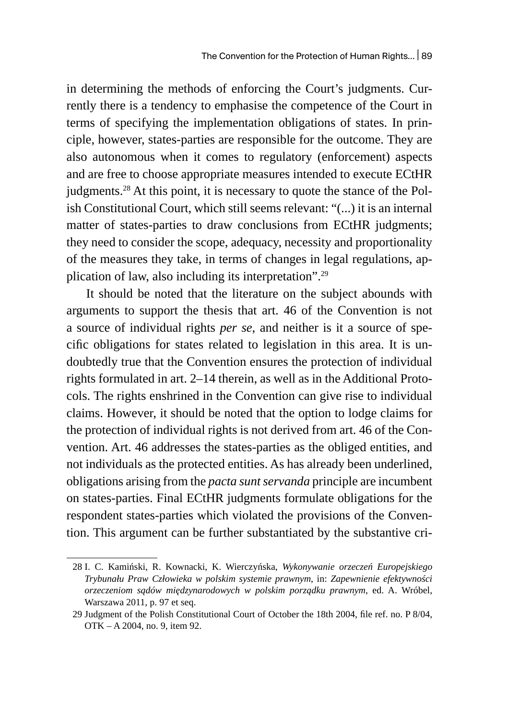in determining the methods of enforcing the Court's judgments. Currently there is a tendency to emphasise the competence of the Court in terms of specifying the implementation obligations of states. In principle, however, states-parties are responsible for the outcome. They are also autonomous when it comes to regulatory (enforcement) aspects and are free to choose appropriate measures intended to execute ECtHR judgments.<sup>28</sup> At this point, it is necessary to quote the stance of the Polish Constitutional Court, which still seems relevant: "(...) it is an internal matter of states-parties to draw conclusions from ECtHR judgments; they need to consider the scope, adequacy, necessity and proportionality of the measures they take, in terms of changes in legal regulations, application of law, also including its interpretation".29

It should be noted that the literature on the subject abounds with arguments to support the thesis that art. 46 of the Convention is not a source of individual rights *per se*, and neither is it a source of specific obligations for states related to legislation in this area. It is undoubtedly true that the Convention ensures the protection of individual rights formulated in art. 2–14 therein, as well as in the Additional Protocols. The rights enshrined in the Convention can give rise to individual claims. However, it should be noted that the option to lodge claims for the protection of individual rights is not derived from art. 46 of the Convention. Art. 46 addresses the states-parties as the obliged entities, and not individuals as the protected entities. As has already been underlined, obligations arising from the *pacta sunt servanda* principle are incumbent on states-parties. Final ECtHR judgments formulate obligations for the respondent states-parties which violated the provisions of the Convention. This argument can be further substantiated by the substantive cri-

<sup>28</sup> I. C. Kamiński, R. Kownacki, K. Wierczyńska, *Wykonywanie orzeczeń Europejskiego Trybunału Praw Człowieka w polskim systemie prawnym*, in: *Zapewnienie efektywności orzeczeniom sądów międzynarodowych w polskim porządku prawnym*, ed. A. Wróbel, Warszawa 2011, p. 97 et seq.

<sup>29</sup> Judgment of the Polish Constitutional Court of October the 18th 2004, file ref. no. P 8/04, OTK – A 2004, no. 9, item 92.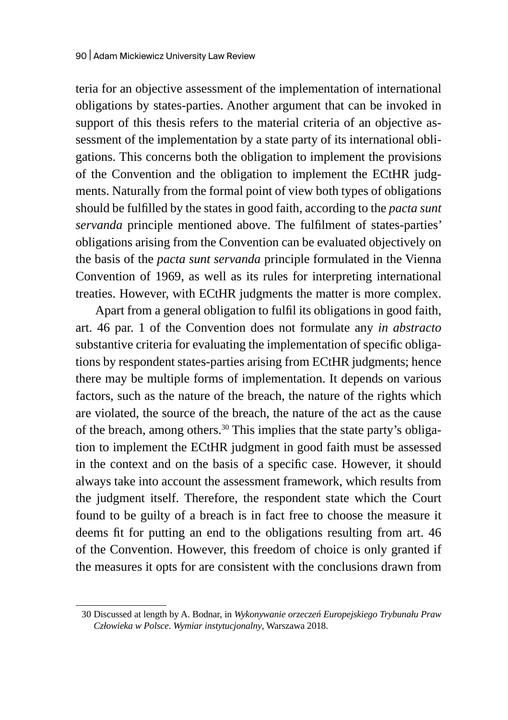teria for an objective assessment of the implementation of international obligations by states-parties. Another argument that can be invoked in support of this thesis refers to the material criteria of an objective assessment of the implementation by a state party of its international obligations. This concerns both the obligation to implement the provisions of the Convention and the obligation to implement the ECtHR judgments. Naturally from the formal point of view both types of obligations should be fulfilled by the states in good faith, according to the *pacta sunt servanda* principle mentioned above. The fulfilment of states-parties' obligations arising from the Convention can be evaluated objectively on the basis of the *pacta sunt servanda* principle formulated in the Vienna Convention of 1969, as well as its rules for interpreting international treaties. However, with ECtHR judgments the matter is more complex.

Apart from a general obligation to fulfil its obligations in good faith, art. 46 par. 1 of the Convention does not formulate any *in abstracto*  substantive criteria for evaluating the implementation of specific obligations by respondent states-parties arising from ECtHR judgments; hence there may be multiple forms of implementation. It depends on various factors, such as the nature of the breach, the nature of the rights which are violated, the source of the breach, the nature of the act as the cause of the breach, among others.<sup>30</sup> This implies that the state party's obligation to implement the ECtHR judgment in good faith must be assessed in the context and on the basis of a specific case. However, it should always take into account the assessment framework, which results from the judgment itself. Therefore, the respondent state which the Court found to be guilty of a breach is in fact free to choose the measure it deems fit for putting an end to the obligations resulting from art. 46 of the Convention. However, this freedom of choice is only granted if the measures it opts for are consistent with the conclusions drawn from

<sup>30</sup> Discussed at length by A. Bodnar, in *Wykonywanie orzeczeń Europejskiego Trybunału Praw Człowieka w Polsce*. *Wymiar instytucjonalny*, Warszawa 2018.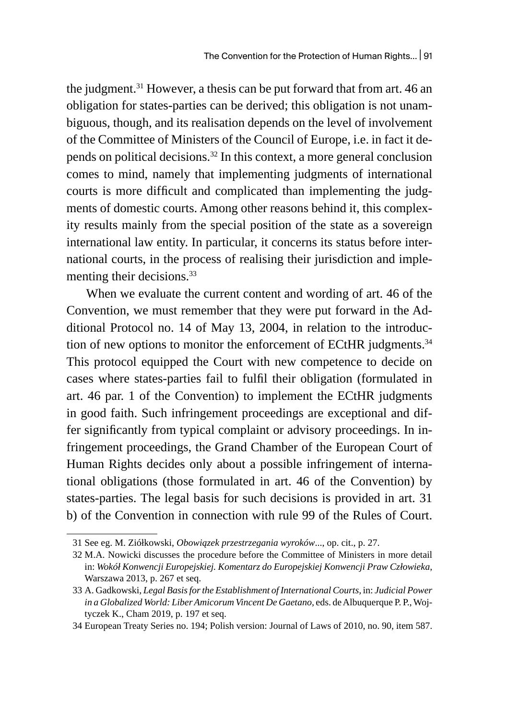the judgment.<sup>31</sup> However, a thesis can be put forward that from art. 46 an obligation for states-parties can be derived; this obligation is not unambiguous, though, and its realisation depends on the level of involvement of the Committee of Ministers of the Council of Europe, i.e. in fact it depends on political decisions.32 In this context, a more general conclusion comes to mind, namely that implementing judgments of international courts is more difficult and complicated than implementing the judgments of domestic courts. Among other reasons behind it, this complexity results mainly from the special position of the state as a sovereign international law entity. In particular, it concerns its status before international courts, in the process of realising their jurisdiction and implementing their decisions.<sup>33</sup>

When we evaluate the current content and wording of art. 46 of the Convention, we must remember that they were put forward in the Additional Protocol no. 14 of May 13, 2004, in relation to the introduction of new options to monitor the enforcement of ECtHR judgments.<sup>34</sup> This protocol equipped the Court with new competence to decide on cases where states-parties fail to fulfil their obligation (formulated in art. 46 par. 1 of the Convention) to implement the ECtHR judgments in good faith. Such infringement proceedings are exceptional and differ significantly from typical complaint or advisory proceedings. In infringement proceedings, the Grand Chamber of the European Court of Human Rights decides only about a possible infringement of international obligations (those formulated in art. 46 of the Convention) by states-parties. The legal basis for such decisions is provided in art. 31 b) of the Convention in connection with rule 99 of the Rules of Court.

34 European Treaty Series no. 194; Polish version: Journal of Laws of 2010, no. 90, item 587.

<sup>31</sup> See eg. M. Ziółkowski, *Obowiązek przestrzegania wyroków*..., op. cit., p. 27.

<sup>32</sup> M.A. Nowicki discusses the procedure before the Committee of Ministers in more detail in: *Wokół Konwencji Europejskiej. Komentarz do Europejskiej Konwencji Praw Człowieka*, Warszawa 2013, p. 267 et seq.

<sup>33</sup> A. Gadkowski, *Legal Basis for the Establishment of International Courts,* in: *Judicial Power in a Globalized World: Liber Amicorum Vincent De Gaetano,* eds. de Albuquerque P. P., Wojtyczek K., Cham 2019, p. 197 et seq.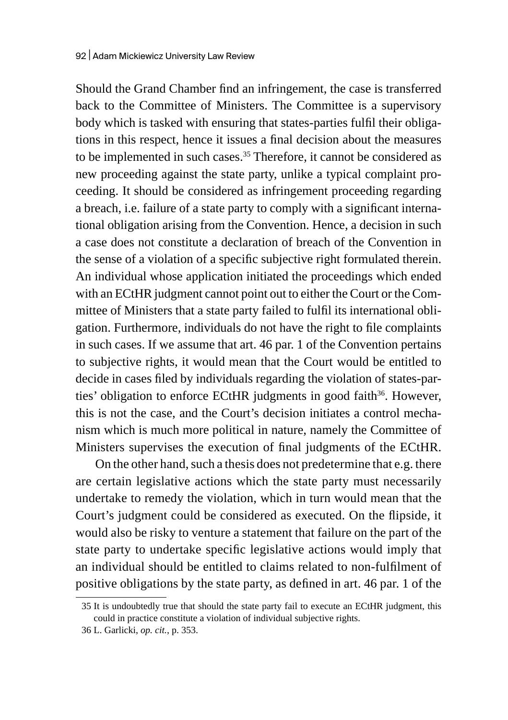Should the Grand Chamber find an infringement, the case is transferred back to the Committee of Ministers. The Committee is a supervisory body which is tasked with ensuring that states-parties fulfil their obligations in this respect, hence it issues a final decision about the measures to be implemented in such cases.<sup>35</sup> Therefore, it cannot be considered as new proceeding against the state party, unlike a typical complaint proceeding. It should be considered as infringement proceeding regarding a breach, i.e. failure of a state party to comply with a significant international obligation arising from the Convention. Hence, a decision in such a case does not constitute a declaration of breach of the Convention in the sense of a violation of a specific subjective right formulated therein. An individual whose application initiated the proceedings which ended with an ECtHR judgment cannot point out to either the Court or the Committee of Ministers that a state party failed to fulfil its international obligation. Furthermore, individuals do not have the right to file complaints in such cases. If we assume that art. 46 par. 1 of the Convention pertains to subjective rights, it would mean that the Court would be entitled to decide in cases filed by individuals regarding the violation of states-parties' obligation to enforce ECtHR judgments in good faith<sup>36</sup>. However, this is not the case, and the Court's decision initiates a control mechanism which is much more political in nature, namely the Committee of Ministers supervises the execution of final judgments of the ECtHR.

On the other hand, such a thesis does not predetermine that e.g. there are certain legislative actions which the state party must necessarily undertake to remedy the violation, which in turn would mean that the Court's judgment could be considered as executed. On the flipside, it would also be risky to venture a statement that failure on the part of the state party to undertake specific legislative actions would imply that an individual should be entitled to claims related to non-fulfilment of positive obligations by the state party, as defined in art. 46 par. 1 of the

<sup>35</sup> It is undoubtedly true that should the state party fail to execute an ECtHR judgment, this could in practice constitute a violation of individual subjective rights.

<sup>36</sup> L. Garlicki, *op. cit.*, p. 353.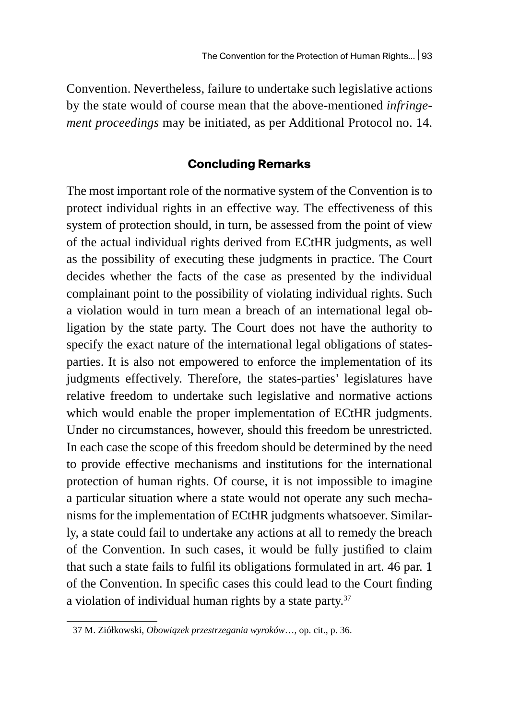Convention. Nevertheless, failure to undertake such legislative actions by the state would of course mean that the above-mentioned *infringement proceedings* may be initiated, as per Additional Protocol no. 14.

## **Concluding Remarks**

The most important role of the normative system of the Convention is to protect individual rights in an effective way. The effectiveness of this system of protection should, in turn, be assessed from the point of view of the actual individual rights derived from ECtHR judgments, as well as the possibility of executing these judgments in practice. The Court decides whether the facts of the case as presented by the individual complainant point to the possibility of violating individual rights. Such a violation would in turn mean a breach of an international legal obligation by the state party. The Court does not have the authority to specify the exact nature of the international legal obligations of statesparties. It is also not empowered to enforce the implementation of its judgments effectively. Therefore, the states-parties' legislatures have relative freedom to undertake such legislative and normative actions which would enable the proper implementation of ECtHR judgments. Under no circumstances, however, should this freedom be unrestricted. In each case the scope of this freedom should be determined by the need to provide effective mechanisms and institutions for the international protection of human rights. Of course, it is not impossible to imagine a particular situation where a state would not operate any such mechanisms for the implementation of ECtHR judgments whatsoever. Similarly, a state could fail to undertake any actions at all to remedy the breach of the Convention. In such cases, it would be fully justified to claim that such a state fails to fulfil its obligations formulated in art. 46 par. 1 of the Convention. In specific cases this could lead to the Court finding a violation of individual human rights by a state party.<sup>37</sup>

<sup>37</sup> M. Ziółkowski, *Obowiązek przestrzegania wyroków*…, op. cit., p. 36.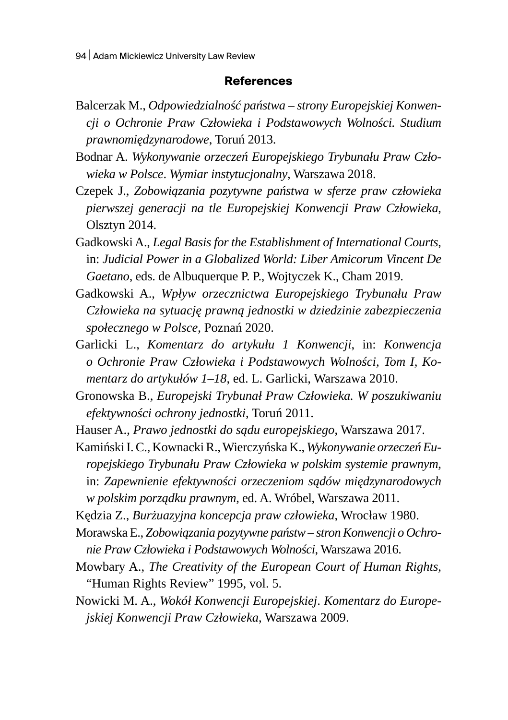#### **References**

- Balcerzak M., *Odpowiedzialność państwa strony Europejskiej Konwencji o Ochronie Praw Człowieka i Podstawowych Wolności. Studium prawnomiędzynarodowe*, Toruń 2013.
- Bodnar A. *Wykonywanie orzeczeń Europejskiego Trybunału Praw Człowieka w Polsce*. *Wymiar instytucjonalny*, Warszawa 2018.
- Czepek J., *Zobowiązania pozytywne państwa w sferze praw człowieka pierwszej generacji na tle Europejskiej Konwencji Praw Człowieka*, Olsztyn 2014.
- Gadkowski A., *Legal Basis for the Establishment of International Courts*, in: *Judicial Power in a Globalized World: Liber Amicorum Vincent De Gaetano*, eds. de Albuquerque P. P., Wojtyczek K., Cham 2019.
- Gadkowski A., *Wpływ orzecznictwa Europejskiego Trybunału Praw Człowieka na sytuację prawną jednostki w dziedzinie zabezpieczenia społecznego w Polsce*, Poznań 2020.
- Garlicki L., *Komentarz do artykułu 1 Konwencji*, in: *Konwencja o Ochronie Praw Człowieka i Podstawowych Wolności, Tom I, Komentarz do artykułów 1–18*, ed. L. Garlicki, Warszawa 2010.
- Gronowska B., *Europejski Trybunał Praw Człowieka. W poszukiwaniu efektywności ochrony jednostki*, Toruń 2011.
- Hauser A., *Prawo jednostki do sądu europejskiego*, Warszawa 2017.

Kamiński I.C., Kownacki R., Wierczyńska K., *Wykonywanie orzeczeń Europejskiego Trybunału Praw Człowieka w polskim systemie prawnym*, in: *Zapewnienie efektywności orzeczeniom sądów międzynarodowych w polskim porządku prawnym*, ed. A. Wróbel, Warszawa 2011.

Kędzia Z., *Burżuazyjna koncepcja praw człowieka*, Wrocław 1980.

- Morawska E., *Zobowiązania pozytywne państw– stron Konwencji o Ochronie Praw Człowieka i Podstawowych Wolności*, Warszawa 2016.
- Mowbary A., *The Creativity of the European Court of Human Rights*, "Human Rights Review" 1995, vol. 5.
- Nowicki M. A., *Wokół Konwencji Europejskiej*. *Komentarz do Europejskiej Konwencji Praw Człowieka*, Warszawa 2009.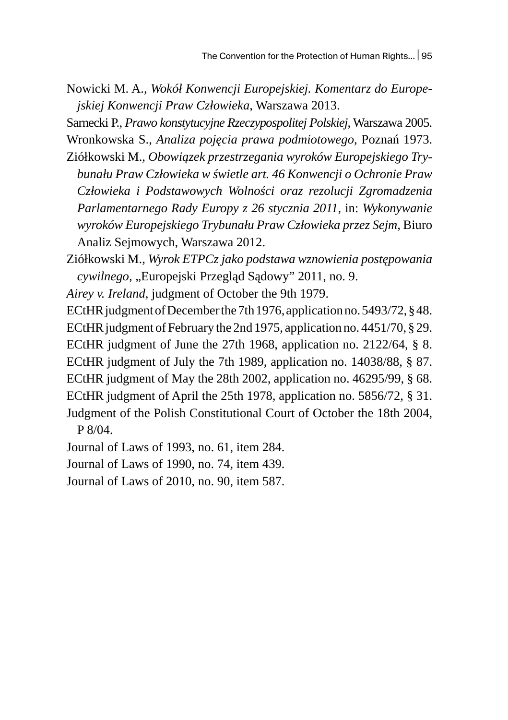Nowicki M. A., *Wokół Konwencji Europejskiej. Komentarz do Europejskiej Konwencji Praw Człowieka*, Warszawa 2013.

Sarnecki P., *Prawo konstytucyjne Rzeczypospolitej Polskiej*, Warszawa 2005. Wronkowska S., *Analiza pojęcia prawa podmiotowego*, Poznań 1973.

Ziółkowski M., *Obowiązek przestrzegania wyroków Europejskiego Trybunału Praw Człowieka w świetle art. 46 Konwencji o Ochronie Praw Człowieka i Podstawowych Wolności oraz rezolucji Zgromadzenia Parlamentarnego Rady Europy z 26 stycznia 2011*, in: *Wykonywanie wyroków Europejskiego Trybunału Praw Człowieka przez Sejm,* Biuro Analiz Sejmowych, Warszawa 2012.

Ziółkowski M., *Wyrok ETPCz jako podstawa wznowienia postępowania cywilnego,* "Europejski Przegląd Sądowy" 2011, no. 9.

*Airey v. Ireland*, judgment of October the 9th 1979.

ECtHR judgment of December the 7th 1976, application no. 5493/72, § 48. ECtHR judgment of February the 2nd 1975, application no. 4451/70, § 29. ECtHR judgment of June the 27th 1968, application no. 2122/64, § 8. ECtHR judgment of July the 7th 1989, application no. 14038/88, § 87. ECtHR judgment of May the 28th 2002, application no. 46295/99, § 68. ECtHR judgment of April the 25th 1978, application no. 5856/72, § 31. Judgment of the Polish Constitutional Court of October the 18th 2004, P 8/04.

Journal of Laws of 1993, no. 61, item 284.

Journal of Laws of 1990, no. 74, item 439.

Journal of Laws of 2010, no. 90, item 587.